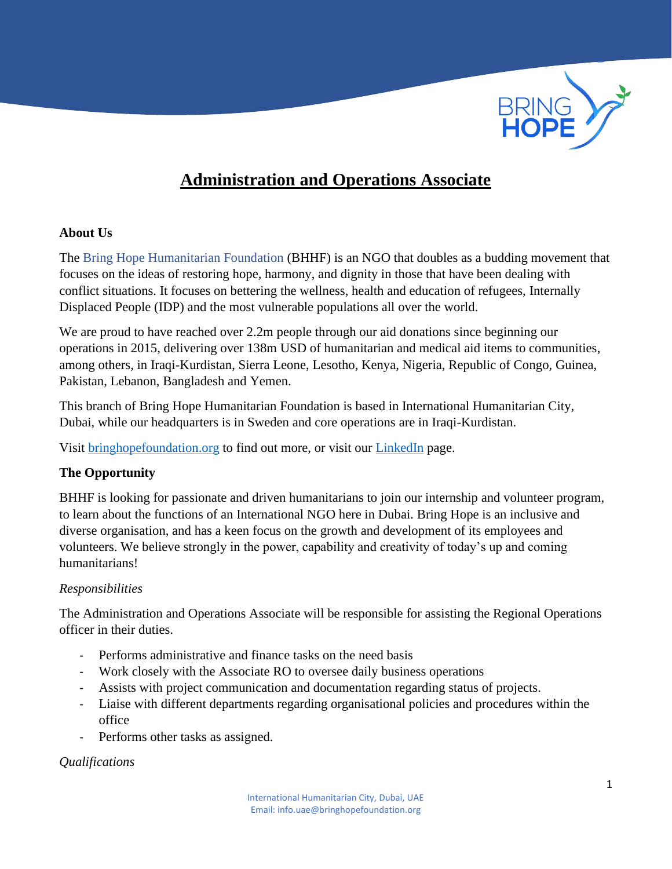

# **Administration and Operations Associate**

### **About Us**

The Bring Hope Humanitarian Foundation (BHHF) is an NGO that doubles as a budding movement that focuses on the ideas of restoring hope, harmony, and dignity in those that have been dealing with conflict situations. It focuses on bettering the wellness, health and education of refugees, Internally Displaced People (IDP) and the most vulnerable populations all over the world.

We are proud to have reached over 2.2m people through our aid donations since beginning our operations in 2015, delivering over 138m USD of humanitarian and medical aid items to communities, among others, in Iraqi-Kurdistan, Sierra Leone, Lesotho, Kenya, Nigeria, Republic of Congo, Guinea, Pakistan, Lebanon, Bangladesh and Yemen.

This branch of Bring Hope Humanitarian Foundation is based in International Humanitarian City, Dubai, while our headquarters is in Sweden and core operations are in Iraqi-Kurdistan.

Visit<bringhopefoundation.org> to find out more, or visit our [LinkedIn](https://www.linkedin.com/company/bring-hope-foundation) page.

### **The Opportunity**

BHHF is looking for passionate and driven humanitarians to join our internship and volunteer program, to learn about the functions of an International NGO here in Dubai. Bring Hope is an inclusive and diverse organisation, and has a keen focus on the growth and development of its employees and volunteers. We believe strongly in the power, capability and creativity of today's up and coming humanitarians!

### *Responsibilities*

The Administration and Operations Associate will be responsible for assisting the Regional Operations officer in their duties.

- Performs administrative and finance tasks on the need basis
- Work closely with the Associate RO to oversee daily business operations
- Assists with project communication and documentation regarding status of projects.
- Liaise with different departments regarding organisational policies and procedures within the office
- Performs other tasks as assigned.

### *Qualifications*